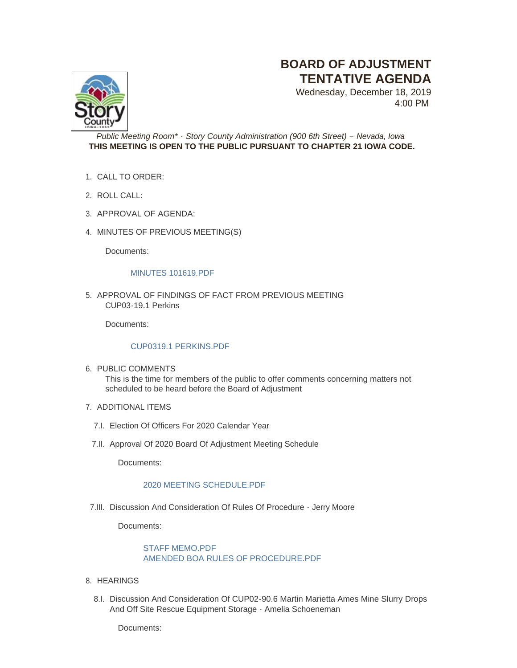# **BOARD OF ADJUSTMENT TENTATIVE AGENDA**

Wednesday, December 18, 2019 4:00 PM



*Public Meeting Room\* - Story County Administration (900 6th Street) – Nevada, Iowa* **THIS MEETING IS OPEN TO THE PUBLIC PURSUANT TO CHAPTER 21 IOWA CODE.**

- CALL TO ORDER: 1.
- 2. ROLL CALL:
- 3. APPROVAL OF AGENDA:
- 4. MINUTES OF PREVIOUS MEETING(S)

Documents:

#### [MINUTES 101619.PDF](http://www.storycountyiowa.gov/AgendaCenter/ViewFile/Item/15845?fileID=12631)

5. APPROVAL OF FINDINGS OF FACT FROM PREVIOUS MEETING CUP03-19.1 Perkins

Documents:

## [CUP0319.1 PERKINS.PDF](http://www.storycountyiowa.gov/AgendaCenter/ViewFile/Item/15852?fileID=12632)

6. PUBLIC COMMENTS

This is the time for members of the public to offer comments concerning matters not scheduled to be heard before the Board of Adjustment

- 7. ADDITIONAL ITEMS
	- 7.I. Election Of Officers For 2020 Calendar Year
	- 7.II. Approval Of 2020 Board Of Adjustment Meeting Schedule

Documents:

## [2020 MEETING SCHEDULE.PDF](http://www.storycountyiowa.gov/AgendaCenter/ViewFile/Item/16247?fileID=12645)

7.III. Discussion And Consideration Of Rules Of Procedure - Jerry Moore

Documents:

# [STAFF MEMO.PDF](http://www.storycountyiowa.gov/AgendaCenter/ViewFile/Item/16230?fileID=12653) [AMENDED BOA RULES OF PROCEDURE.PDF](http://www.storycountyiowa.gov/AgendaCenter/ViewFile/Item/16230?fileID=12652)

- 8. HEARINGS
	- 8.I. Discussion And Consideration Of CUP02-90.6 Martin Marietta Ames Mine Slurry Drops And Off Site Rescue Equipment Storage - Amelia Schoeneman

Documents: